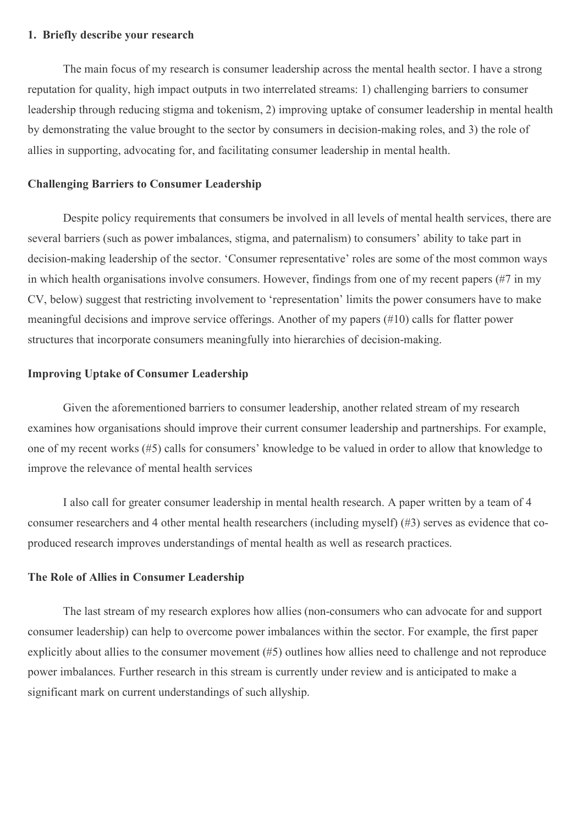#### **1. Briefly describe your research**

The main focus of my research is consumer leadership across the mental health sector. I have a strong reputation for quality, high impact outputs in two interrelated streams: 1) challenging barriers to consumer leadership through reducing stigma and tokenism, 2) improving uptake of consumer leadership in mental health by demonstrating the value brought to the sector by consumers in decision-making roles, and 3) the role of allies in supporting, advocating for, and facilitating consumer leadership in mental health.

#### **Challenging Barriers to Consumer Leadership**

Despite policy requirements that consumers be involved in all levels of mental health services, there are several barriers (such as power imbalances, stigma, and paternalism) to consumers' ability to take part in decision-making leadership of the sector. 'Consumer representative' roles are some of the most common ways in which health organisations involve consumers. However, findings from one of my recent papers (#7 in my CV, below) suggest that restricting involvement to 'representation' limits the power consumers have to make meaningful decisions and improve service offerings. Another of my papers (#10) calls for flatter power structures that incorporate consumers meaningfully into hierarchies of decision-making.

### **Improving Uptake of Consumer Leadership**

Given the aforementioned barriers to consumer leadership, another related stream of my research examines how organisations should improve their current consumer leadership and partnerships. For example, one of my recent works (#5) calls for consumers' knowledge to be valued in order to allow that knowledge to improve the relevance of mental health services

I also call for greater consumer leadership in mental health research. A paper written by a team of 4 consumer researchers and 4 other mental health researchers (including myself) (#3) serves as evidence that coproduced research improves understandings of mental health as well as research practices.

### **The Role of Allies in Consumer Leadership**

The last stream of my research explores how allies (non-consumers who can advocate for and support consumer leadership) can help to overcome power imbalances within the sector. For example, the first paper explicitly about allies to the consumer movement (#5) outlines how allies need to challenge and not reproduce power imbalances. Further research in this stream is currently under review and is anticipated to make a significant mark on current understandings of such allyship.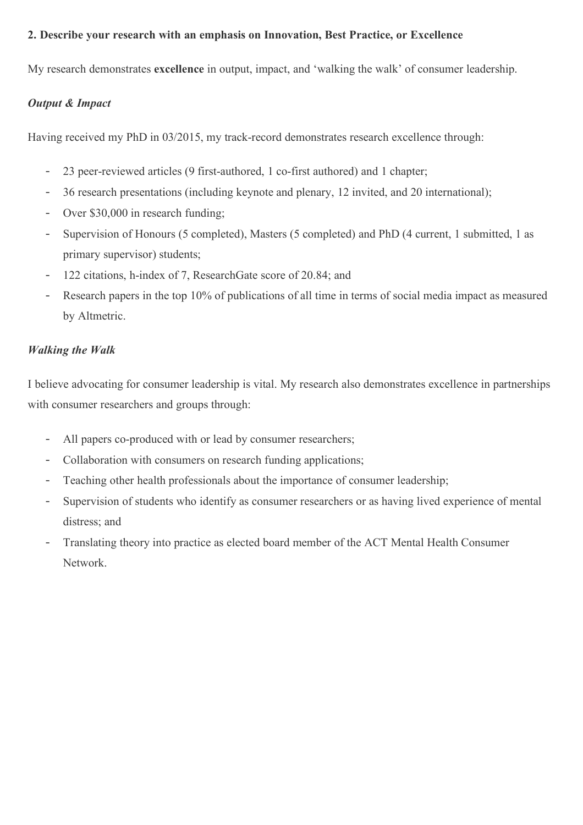## **2. Describe your research with an emphasis on Innovation, Best Practice, or Excellence**

My research demonstrates **excellence** in output, impact, and 'walking the walk' of consumer leadership.

## *Output & Impact*

Having received my PhD in 03/2015, my track-record demonstrates research excellence through:

- 23 peer-reviewed articles (9 first-authored, 1 co-first authored) and 1 chapter;
- 36 research presentations (including keynote and plenary, 12 invited, and 20 international);
- Over \$30,000 in research funding:
- Supervision of Honours (5 completed), Masters (5 completed) and PhD (4 current, 1 submitted, 1 as primary supervisor) students;
- 122 citations, h-index of 7, ResearchGate score of 20.84; and
- Research papers in the top 10% of publications of all time in terms of social media impact as measured by Altmetric.

## *Walking the Walk*

I believe advocating for consumer leadership is vital. My research also demonstrates excellence in partnerships with consumer researchers and groups through:

- All papers co-produced with or lead by consumer researchers;
- Collaboration with consumers on research funding applications;
- Teaching other health professionals about the importance of consumer leadership;
- Supervision of students who identify as consumer researchers or as having lived experience of mental distress; and
- Translating theory into practice as elected board member of the ACT Mental Health Consumer Network.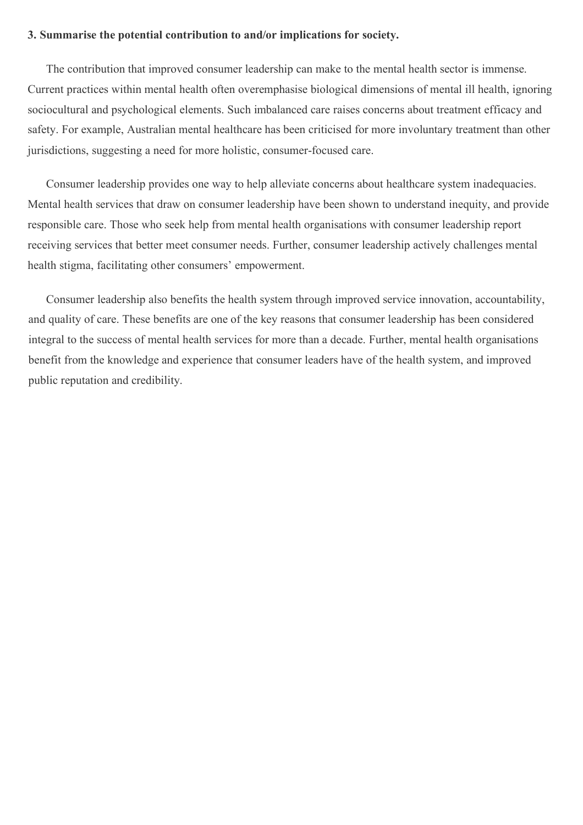### **3. Summarise the potential contribution to and/or implications for society.**

The contribution that improved consumer leadership can make to the mental health sector is immense. Current practices within mental health often overemphasise biological dimensions of mental ill health, ignoring sociocultural and psychological elements. Such imbalanced care raises concerns about treatment efficacy and safety. For example, Australian mental healthcare has been criticised for more involuntary treatment than other jurisdictions, suggesting a need for more holistic, consumer-focused care.

Consumer leadership provides one way to help alleviate concerns about healthcare system inadequacies. Mental health services that draw on consumer leadership have been shown to understand inequity, and provide responsible care. Those who seek help from mental health organisations with consumer leadership report receiving services that better meet consumer needs. Further, consumer leadership actively challenges mental health stigma, facilitating other consumers' empowerment.

Consumer leadership also benefits the health system through improved service innovation, accountability, and quality of care. These benefits are one of the key reasons that consumer leadership has been considered integral to the success of mental health services for more than a decade. Further, mental health organisations benefit from the knowledge and experience that consumer leaders have of the health system, and improved public reputation and credibility.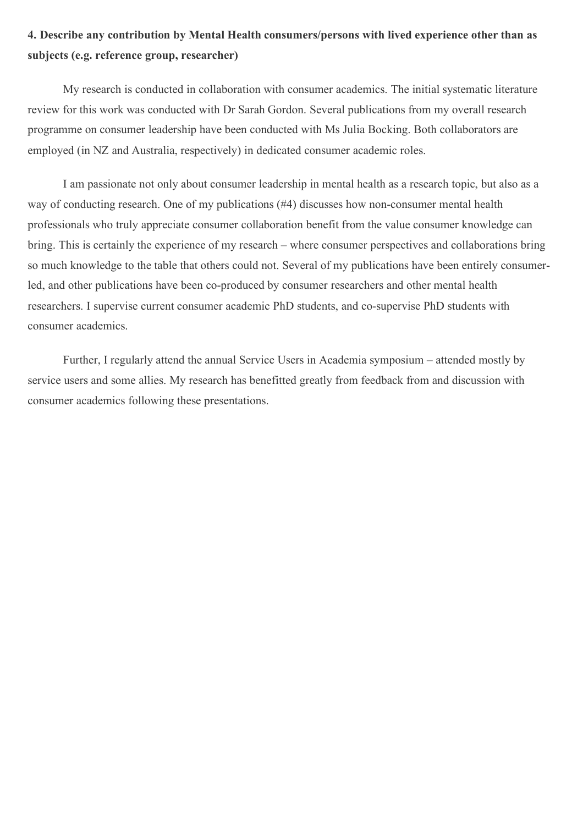# **4. Describe any contribution by Mental Health consumers/persons with lived experience other than as subjects (e.g. reference group, researcher)**

My research is conducted in collaboration with consumer academics. The initial systematic literature review for this work was conducted with Dr Sarah Gordon. Several publications from my overall research programme on consumer leadership have been conducted with Ms Julia Bocking. Both collaborators are employed (in NZ and Australia, respectively) in dedicated consumer academic roles.

I am passionate not only about consumer leadership in mental health as a research topic, but also as a way of conducting research. One of my publications (#4) discusses how non-consumer mental health professionals who truly appreciate consumer collaboration benefit from the value consumer knowledge can bring. This is certainly the experience of my research – where consumer perspectives and collaborations bring so much knowledge to the table that others could not. Several of my publications have been entirely consumerled, and other publications have been co-produced by consumer researchers and other mental health researchers. I supervise current consumer academic PhD students, and co-supervise PhD students with consumer academics.

Further, I regularly attend the annual Service Users in Academia symposium – attended mostly by service users and some allies. My research has benefitted greatly from feedback from and discussion with consumer academics following these presentations.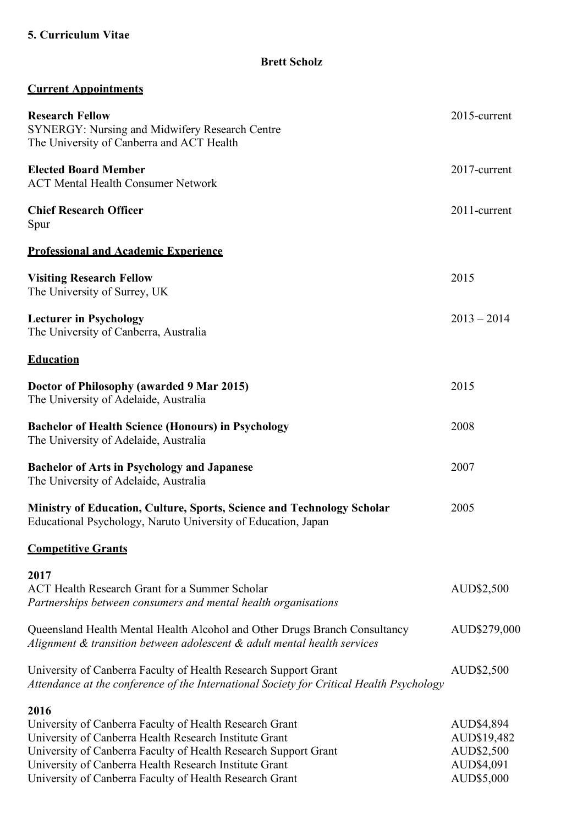# **5. Curriculum Vitae**

**Brett Scholz**

|  | <b>Current Appointments</b> |  |  |
|--|-----------------------------|--|--|
|  |                             |  |  |

| <b>Research Fellow</b><br><b>SYNERGY: Nursing and Midwifery Research Centre</b><br>The University of Canberra and ACT Health                                                                                                                                                                                      | 2015-current                                                        |  |
|-------------------------------------------------------------------------------------------------------------------------------------------------------------------------------------------------------------------------------------------------------------------------------------------------------------------|---------------------------------------------------------------------|--|
| <b>Elected Board Member</b><br><b>ACT Mental Health Consumer Network</b>                                                                                                                                                                                                                                          | 2017-current                                                        |  |
| <b>Chief Research Officer</b><br>Spur                                                                                                                                                                                                                                                                             | 2011-current                                                        |  |
| <b>Professional and Academic Experience</b>                                                                                                                                                                                                                                                                       |                                                                     |  |
| <b>Visiting Research Fellow</b><br>The University of Surrey, UK                                                                                                                                                                                                                                                   | 2015                                                                |  |
| <b>Lecturer in Psychology</b><br>The University of Canberra, Australia                                                                                                                                                                                                                                            | $2013 - 2014$                                                       |  |
| <b>Education</b>                                                                                                                                                                                                                                                                                                  |                                                                     |  |
| Doctor of Philosophy (awarded 9 Mar 2015)<br>The University of Adelaide, Australia                                                                                                                                                                                                                                | 2015                                                                |  |
| <b>Bachelor of Health Science (Honours) in Psychology</b><br>The University of Adelaide, Australia                                                                                                                                                                                                                | 2008                                                                |  |
| <b>Bachelor of Arts in Psychology and Japanese</b><br>The University of Adelaide, Australia                                                                                                                                                                                                                       | 2007                                                                |  |
| Ministry of Education, Culture, Sports, Science and Technology Scholar<br>Educational Psychology, Naruto University of Education, Japan                                                                                                                                                                           |                                                                     |  |
| <b>Competitive Grants</b>                                                                                                                                                                                                                                                                                         |                                                                     |  |
| 2017<br><b>ACT Health Research Grant for a Summer Scholar</b><br>Partnerships between consumers and mental health organisations                                                                                                                                                                                   | AUD\$2,500                                                          |  |
| Queensland Health Mental Health Alcohol and Other Drugs Branch Consultancy<br>Alignment & transition between adolescent & adult mental health services                                                                                                                                                            | AUD\$279,000                                                        |  |
| University of Canberra Faculty of Health Research Support Grant<br>Attendance at the conference of the International Society for Critical Health Psychology                                                                                                                                                       | AUD\$2,500                                                          |  |
| 2016<br>University of Canberra Faculty of Health Research Grant<br>University of Canberra Health Research Institute Grant<br>University of Canberra Faculty of Health Research Support Grant<br>University of Canberra Health Research Institute Grant<br>University of Canberra Faculty of Health Research Grant | AUD\$4,894<br>AUD\$19,482<br>AUD\$2,500<br>AUD\$4,091<br>AUD\$5,000 |  |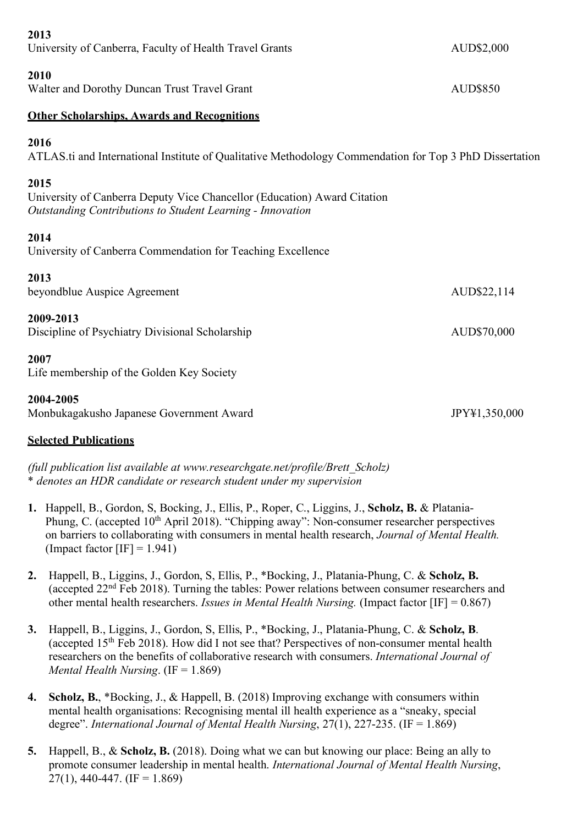| 2013                                                                                                                                           |               |
|------------------------------------------------------------------------------------------------------------------------------------------------|---------------|
| University of Canberra, Faculty of Health Travel Grants                                                                                        | AUD\$2,000    |
| 2010<br>Walter and Dorothy Duncan Trust Travel Grant                                                                                           | AUD\$850      |
| <b>Other Scholarships. Awards and Recognitions</b>                                                                                             |               |
| 2016<br>ATLAS.ti and International Institute of Qualitative Methodology Commendation for Top 3 PhD Dissertation                                |               |
| 2015<br>University of Canberra Deputy Vice Chancellor (Education) Award Citation<br>Outstanding Contributions to Student Learning - Innovation |               |
| 2014<br>University of Canberra Commendation for Teaching Excellence                                                                            |               |
| 2013<br>beyondblue Auspice Agreement                                                                                                           | AUD\$22,114   |
| 2009-2013<br>Discipline of Psychiatry Divisional Scholarship                                                                                   | AUD\$70,000   |
| 2007<br>Life membership of the Golden Key Society                                                                                              |               |
| 2004-2005<br>Monbukagakusho Japanese Government Award                                                                                          | JPY\1,350,000 |

## **Selected Publications**

*(full publication list available at www.researchgate.net/profile/Brett\_Scholz)* \* *denotes an HDR candidate or research student under my supervision*

- **1.** Happell, B., Gordon, S, Bocking, J., Ellis, P., Roper, C., Liggins, J., **Scholz, B.** & Platania-Phung, C. (accepted 10<sup>th</sup> April 2018). "Chipping away": Non-consumer researcher perspectives on barriers to collaborating with consumers in mental health research, *Journal of Mental Health.*  (Impact factor  $[IF] = 1.941$ )
- **2.** Happell, B., Liggins, J., Gordon, S, Ellis, P., \*Bocking, J., Platania-Phung, C. & **Scholz, B.** (accepted 22nd Feb 2018). Turning the tables: Power relations between consumer researchers and other mental health researchers. *Issues in Mental Health Nursing.* (Impact factor [IF] = 0.867)
- **3.** Happell, B., Liggins, J., Gordon, S, Ellis, P., \*Bocking, J., Platania-Phung, C. & **Scholz, B**. (accepted 15th Feb 2018). How did I not see that? Perspectives of non-consumer mental health researchers on the benefits of collaborative research with consumers. *International Journal of Mental Health Nursing*. (IF = 1.869)
- **4. Scholz, B.**, \*Bocking, J., & Happell, B. (2018) Improving exchange with consumers within mental health organisations: Recognising mental ill health experience as a "sneaky, special degree". *International Journal of Mental Health Nursing*, 27(1), 227-235. (IF = 1.869)
- **5.** Happell, B., & **Scholz, B.** (2018). Doing what we can but knowing our place: Being an ally to promote consumer leadership in mental health. *International Journal of Mental Health Nursing*,  $27(1)$ , 440-447. (IF = 1.869)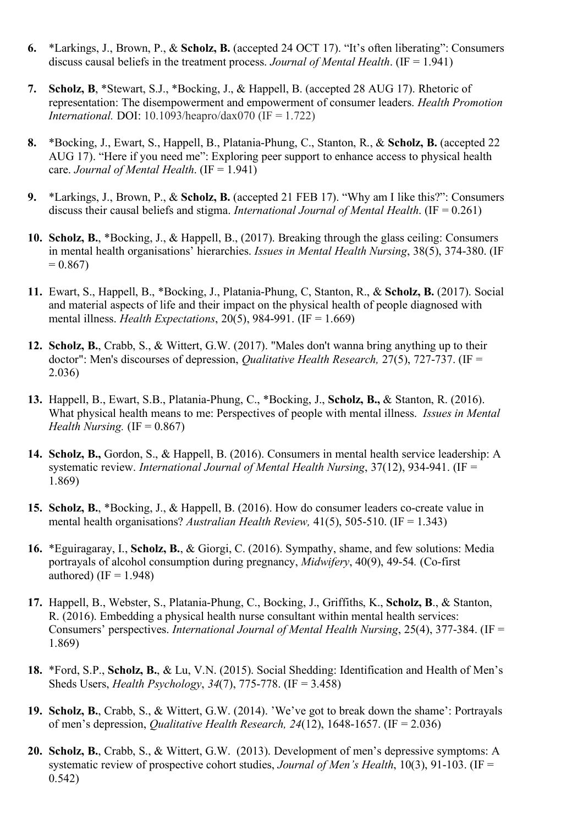- **6.** \*Larkings, J., Brown, P., & **Scholz, B.** (accepted 24 OCT 17). "It's often liberating": Consumers discuss causal beliefs in the treatment process. *Journal of Mental Health*. (IF = 1.941)
- **7. Scholz, B**, \*Stewart, S.J., \*Bocking, J., & Happell, B. (accepted 28 AUG 17). Rhetoric of representation: The disempowerment and empowerment of consumer leaders. *Health Promotion International.* DOI: 10.1093/heapro/dax070 (IF = 1.722)
- **8.** \*Bocking, J., Ewart, S., Happell, B., Platania-Phung, C., Stanton, R., & **Scholz, B.** (accepted 22 AUG 17). "Here if you need me": Exploring peer support to enhance access to physical health care. *Journal of Mental Health*. (IF = 1.941)
- **9.** \*Larkings, J., Brown, P., & **Scholz, B.** (accepted 21 FEB 17). "Why am I like this?": Consumers discuss their causal beliefs and stigma. *International Journal of Mental Health*. (IF = 0.261)
- **10. Scholz, B.**, \*Bocking, J., & Happell, B., (2017). Breaking through the glass ceiling: Consumers in mental health organisations' hierarchies. *Issues in Mental Health Nursing*, 38(5), 374-380. (IF  $= 0.867$
- **11.** Ewart, S., Happell, B., \*Bocking, J., Platania-Phung, C, Stanton, R., & **Scholz, B.** (2017). Social and material aspects of life and their impact on the physical health of people diagnosed with mental illness. *Health Expectations*, 20(5), 984-991. (IF = 1.669)
- **12. Scholz, B.**, Crabb, S., & Wittert, G.W. (2017). "Males don't wanna bring anything up to their doctor": Men's discourses of depression, *Qualitative Health Research,* 27(5), 727-737. (IF = 2.036)
- **13.** Happell, B., Ewart, S.B., Platania-Phung, C., \*Bocking, J., **Scholz, B.,** & Stanton, R. (2016). What physical health means to me: Perspectives of people with mental illness. *Issues in Mental Health Nursing.* (IF  $= 0.867$ )
- **14. Scholz, B.,** Gordon, S., & Happell, B. (2016). Consumers in mental health service leadership: A systematic review. *International Journal of Mental Health Nursing*, 37(12), 934-941. (IF = 1.869)
- **15. Scholz, B.**, \*Bocking, J., & Happell, B. (2016). How do consumer leaders co-create value in mental health organisations? *Australian Health Review,* 41(5), 505-510. (IF = 1.343)
- **16.** \*Eguiragaray, I., **Scholz, B.**, & Giorgi, C. (2016). Sympathy, shame, and few solutions: Media portrayals of alcohol consumption during pregnancy, *Midwifery*, 40(9), 49-54*.* (Co-first authored) (IF  $= 1.948$ )
- **17.** Happell, B., Webster, S., Platania-Phung, C., Bocking, J., Griffiths, K., **Scholz, B**., & Stanton, R. (2016). Embedding a physical health nurse consultant within mental health services: Consumers' perspectives. *International Journal of Mental Health Nursing*, 25(4), 377-384. (IF = 1.869)
- **18.** \*Ford, S.P., **Scholz, B.**, & Lu, V.N. (2015). Social Shedding: Identification and Health of Men's Sheds Users, *Health Psychology*, *34*(7), 775-778. (IF = 3.458)
- **19. Scholz, B.**, Crabb, S., & Wittert, G.W. (2014). 'We've got to break down the shame': Portrayals of men's depression, *Qualitative Health Research, 24*(12), 1648-1657. (IF = 2.036)
- **20. Scholz, B.**, Crabb, S., & Wittert, G.W. (2013). Development of men's depressive symptoms: A systematic review of prospective cohort studies, *Journal of Men's Health*, 10(3), 91-103. (IF = 0.542)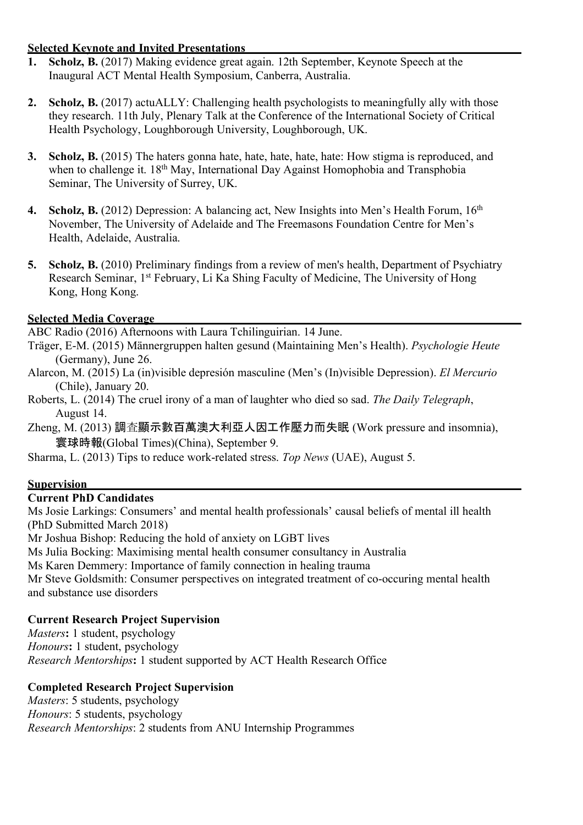## **Selected Keynote and Invited Presentations**

- **1. Scholz, B.** (2017) Making evidence great again. 12th September, Keynote Speech at the Inaugural ACT Mental Health Symposium, Canberra, Australia.
- **2. Scholz, B.** (2017) actuALLY: Challenging health psychologists to meaningfully ally with those they research. 11th July, Plenary Talk at the Conference of the International Society of Critical Health Psychology, Loughborough University, Loughborough, UK.
- **3. Scholz, B.** (2015) The haters gonna hate, hate, hate, hate, hate: How stigma is reproduced, and when to challenge it. 18<sup>th</sup> May, International Day Against Homophobia and Transphobia Seminar, The University of Surrey, UK.
- **4. Scholz, B.** (2012) Depression: A balancing act, New Insights into Men's Health Forum, 16<sup>th</sup> November, The University of Adelaide and The Freemasons Foundation Centre for Men's Health, Adelaide, Australia.
- **5. Scholz, B.** (2010) Preliminary findings from a review of men's health, Department of Psychiatry Research Seminar, 1st February, Li Ka Shing Faculty of Medicine, The University of Hong Kong, Hong Kong.

## **Selected Media Coverage**

ABC Radio (2016) Afternoons with Laura Tchilinguirian. 14 June.

- Träger, E-M. (2015) Männergruppen halten gesund (Maintaining Men's Health). *Psychologie Heute* (Germany), June 26.
- Alarcon, M. (2015) La (in)visible depresión masculine (Men's (In)visible Depression). *El Mercurio*  (Chile), January 20.
- Roberts, L. (2014) The cruel irony of a man of laughter who died so sad. *The Daily Telegraph*, August 14.
- Zheng, M. (2013) 調査顯示數百萬澳大利亞人因工作壓力而失眠 (Work pressure and insomnia), 寰球時報(Global Times)(China), September 9.

Sharma, L. (2013) Tips to reduce work-related stress. *Top News* (UAE), August 5.

## **Supervision**

## **Current PhD Candidates**

Ms Josie Larkings: Consumers' and mental health professionals' causal beliefs of mental ill health (PhD Submitted March 2018)

Mr Joshua Bishop: Reducing the hold of anxiety on LGBT lives

Ms Julia Bocking: Maximising mental health consumer consultancy in Australia

Ms Karen Demmery: Importance of family connection in healing trauma

Mr Steve Goldsmith: Consumer perspectives on integrated treatment of co-occuring mental health and substance use disorders

## **Current Research Project Supervision**

*Masters***:** 1 student, psychology *Honours***:** 1 student, psychology *Research Mentorships***:** 1 student supported by ACT Health Research Office

## **Completed Research Project Supervision**

*Masters*: 5 students, psychology *Honours*: 5 students, psychology *Research Mentorships*: 2 students from ANU Internship Programmes